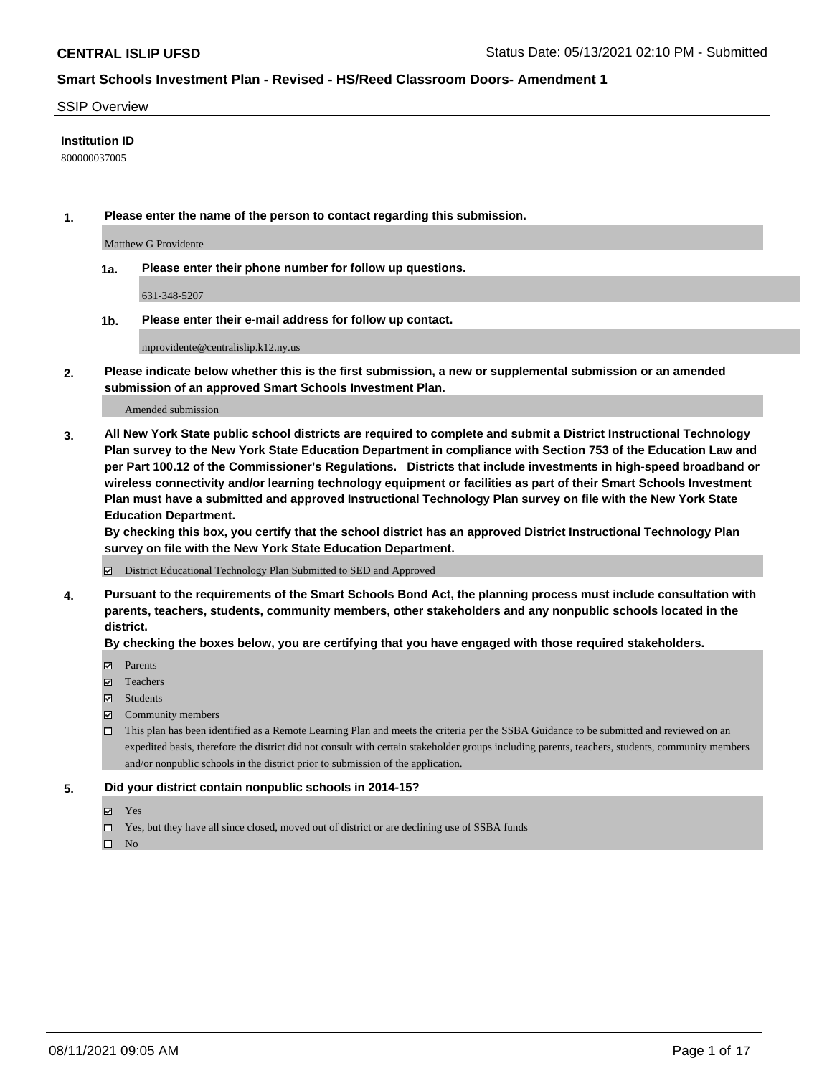#### SSIP Overview

#### **Institution ID**

800000037005

**1. Please enter the name of the person to contact regarding this submission.**

Matthew G Providente

**1a. Please enter their phone number for follow up questions.**

631-348-5207

**1b. Please enter their e-mail address for follow up contact.**

mprovidente@centralislip.k12.ny.us

**2. Please indicate below whether this is the first submission, a new or supplemental submission or an amended submission of an approved Smart Schools Investment Plan.**

#### Amended submission

**3. All New York State public school districts are required to complete and submit a District Instructional Technology Plan survey to the New York State Education Department in compliance with Section 753 of the Education Law and per Part 100.12 of the Commissioner's Regulations. Districts that include investments in high-speed broadband or wireless connectivity and/or learning technology equipment or facilities as part of their Smart Schools Investment Plan must have a submitted and approved Instructional Technology Plan survey on file with the New York State Education Department.** 

**By checking this box, you certify that the school district has an approved District Instructional Technology Plan survey on file with the New York State Education Department.**

District Educational Technology Plan Submitted to SED and Approved

**4. Pursuant to the requirements of the Smart Schools Bond Act, the planning process must include consultation with parents, teachers, students, community members, other stakeholders and any nonpublic schools located in the district.** 

#### **By checking the boxes below, you are certifying that you have engaged with those required stakeholders.**

- **Parents**
- Teachers
- Students
- $\boxtimes$  Community members
- This plan has been identified as a Remote Learning Plan and meets the criteria per the SSBA Guidance to be submitted and reviewed on an expedited basis, therefore the district did not consult with certain stakeholder groups including parents, teachers, students, community members and/or nonpublic schools in the district prior to submission of the application.
- **5. Did your district contain nonpublic schools in 2014-15?**
	- Yes
	- □ Yes, but they have all since closed, moved out of district or are declining use of SSBA funds

 $\hfill \square$  No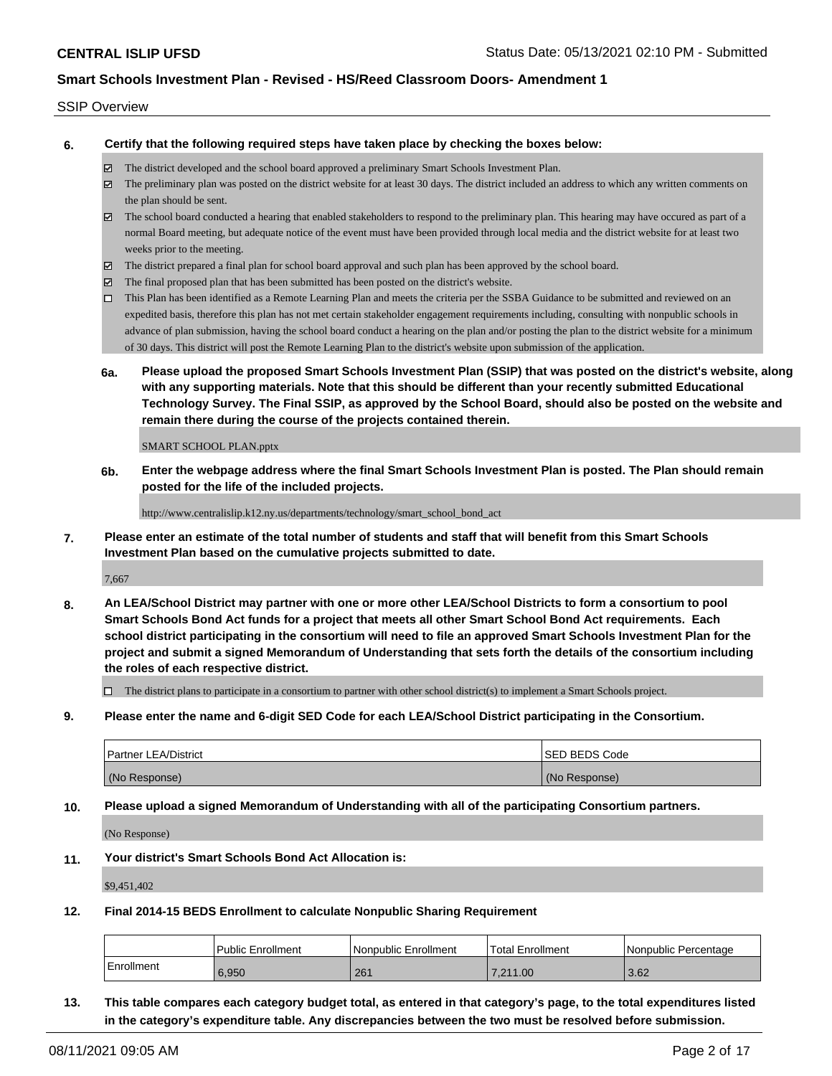#### SSIP Overview

**6. Certify that the following required steps have taken place by checking the boxes below:**

- The district developed and the school board approved a preliminary Smart Schools Investment Plan.
- The preliminary plan was posted on the district website for at least 30 days. The district included an address to which any written comments on the plan should be sent.
- The school board conducted a hearing that enabled stakeholders to respond to the preliminary plan. This hearing may have occured as part of a normal Board meeting, but adequate notice of the event must have been provided through local media and the district website for at least two weeks prior to the meeting.
- The district prepared a final plan for school board approval and such plan has been approved by the school board.
- $\boxtimes$  The final proposed plan that has been submitted has been posted on the district's website.
- This Plan has been identified as a Remote Learning Plan and meets the criteria per the SSBA Guidance to be submitted and reviewed on an expedited basis, therefore this plan has not met certain stakeholder engagement requirements including, consulting with nonpublic schools in advance of plan submission, having the school board conduct a hearing on the plan and/or posting the plan to the district website for a minimum of 30 days. This district will post the Remote Learning Plan to the district's website upon submission of the application.
- **6a. Please upload the proposed Smart Schools Investment Plan (SSIP) that was posted on the district's website, along with any supporting materials. Note that this should be different than your recently submitted Educational Technology Survey. The Final SSIP, as approved by the School Board, should also be posted on the website and remain there during the course of the projects contained therein.**

SMART SCHOOL PLAN.pptx

**6b. Enter the webpage address where the final Smart Schools Investment Plan is posted. The Plan should remain posted for the life of the included projects.**

http://www.centralislip.k12.ny.us/departments/technology/smart\_school\_bond\_act

**7. Please enter an estimate of the total number of students and staff that will benefit from this Smart Schools Investment Plan based on the cumulative projects submitted to date.**

7,667

**8. An LEA/School District may partner with one or more other LEA/School Districts to form a consortium to pool Smart Schools Bond Act funds for a project that meets all other Smart School Bond Act requirements. Each school district participating in the consortium will need to file an approved Smart Schools Investment Plan for the project and submit a signed Memorandum of Understanding that sets forth the details of the consortium including the roles of each respective district.**

 $\Box$  The district plans to participate in a consortium to partner with other school district(s) to implement a Smart Schools project.

**9. Please enter the name and 6-digit SED Code for each LEA/School District participating in the Consortium.**

| <b>Partner LEA/District</b> | <b>ISED BEDS Code</b> |
|-----------------------------|-----------------------|
| (No Response)               | (No Response)         |

**10. Please upload a signed Memorandum of Understanding with all of the participating Consortium partners.**

(No Response)

**11. Your district's Smart Schools Bond Act Allocation is:**

\$9,451,402

**12. Final 2014-15 BEDS Enrollment to calculate Nonpublic Sharing Requirement**

|            | Public Enrollment | Nonpublic Enrollment | Total Enrollment | I Nonpublic Percentage |
|------------|-------------------|----------------------|------------------|------------------------|
| Enrollment | 6.950             | 261                  | 7.211.00         | 3.62                   |

**13. This table compares each category budget total, as entered in that category's page, to the total expenditures listed in the category's expenditure table. Any discrepancies between the two must be resolved before submission.**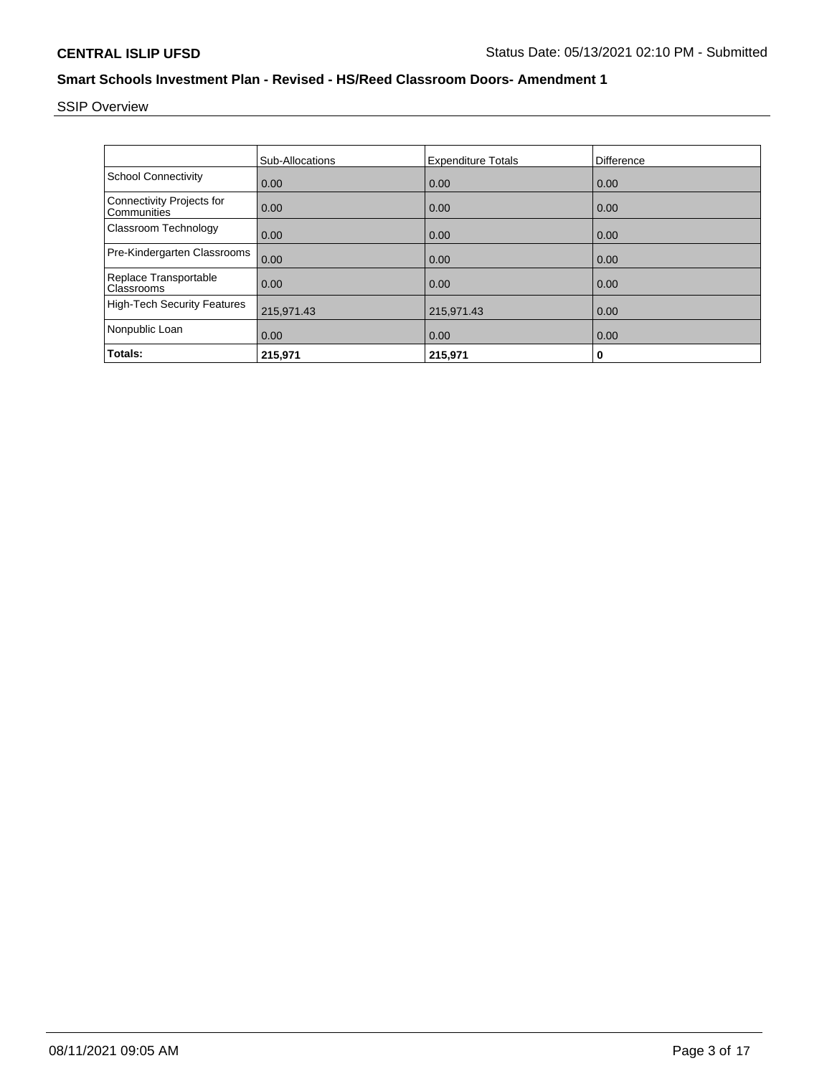SSIP Overview

|                                                 | Sub-Allocations | <b>Expenditure Totals</b> | <b>Difference</b> |
|-------------------------------------------------|-----------------|---------------------------|-------------------|
| <b>School Connectivity</b>                      | 0.00            | 0.00                      | 0.00              |
| <b>Connectivity Projects for</b><br>Communities | 0.00            | 0.00                      | 0.00              |
| Classroom Technology                            | 0.00            | 0.00                      | 0.00              |
| Pre-Kindergarten Classrooms                     | 0.00            | 0.00                      | 0.00              |
| Replace Transportable<br>Classrooms             | 0.00            | 0.00                      | 0.00              |
| <b>High-Tech Security Features</b>              | 215,971.43      | 215,971.43                | 0.00              |
| Nonpublic Loan                                  | 0.00            | 0.00                      | 0.00              |
| Totals:                                         | 215,971         | 215,971                   | 0                 |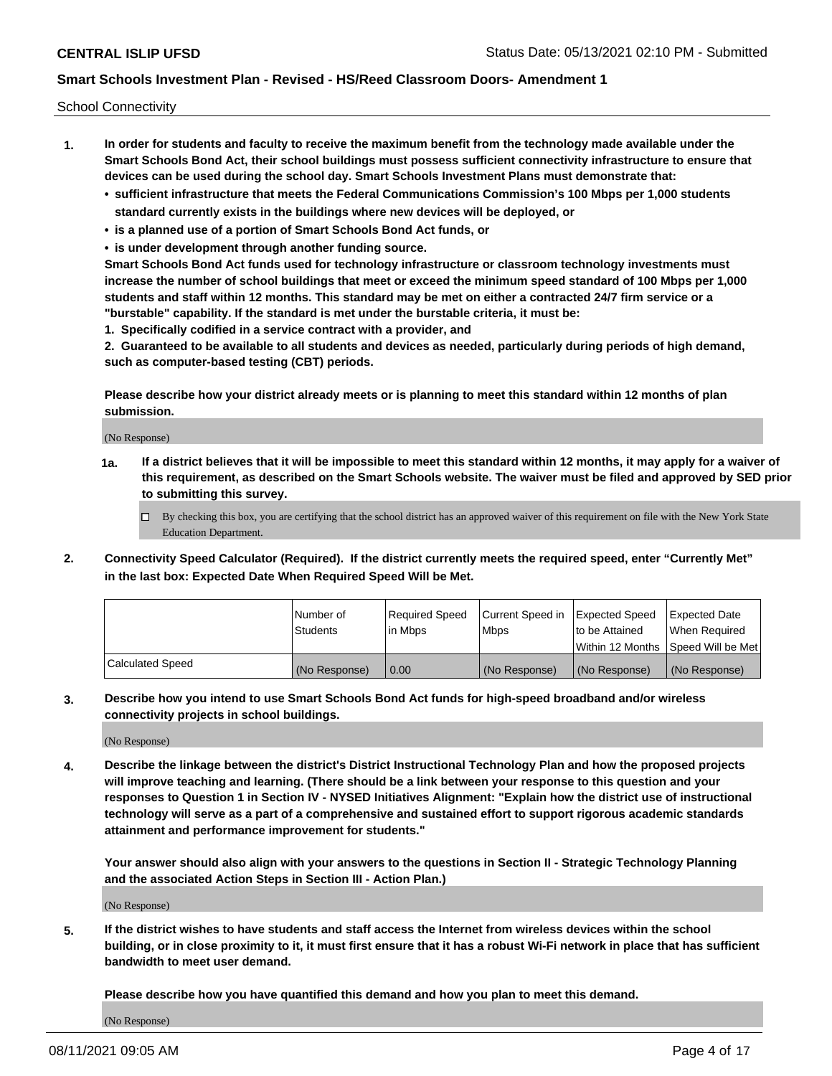School Connectivity

- **1. In order for students and faculty to receive the maximum benefit from the technology made available under the Smart Schools Bond Act, their school buildings must possess sufficient connectivity infrastructure to ensure that devices can be used during the school day. Smart Schools Investment Plans must demonstrate that:**
	- **• sufficient infrastructure that meets the Federal Communications Commission's 100 Mbps per 1,000 students standard currently exists in the buildings where new devices will be deployed, or**
	- **• is a planned use of a portion of Smart Schools Bond Act funds, or**
	- **• is under development through another funding source.**

**Smart Schools Bond Act funds used for technology infrastructure or classroom technology investments must increase the number of school buildings that meet or exceed the minimum speed standard of 100 Mbps per 1,000 students and staff within 12 months. This standard may be met on either a contracted 24/7 firm service or a "burstable" capability. If the standard is met under the burstable criteria, it must be:**

**1. Specifically codified in a service contract with a provider, and**

**2. Guaranteed to be available to all students and devices as needed, particularly during periods of high demand, such as computer-based testing (CBT) periods.**

**Please describe how your district already meets or is planning to meet this standard within 12 months of plan submission.**

(No Response)

**1a. If a district believes that it will be impossible to meet this standard within 12 months, it may apply for a waiver of this requirement, as described on the Smart Schools website. The waiver must be filed and approved by SED prior to submitting this survey.**

 $\Box$  By checking this box, you are certifying that the school district has an approved waiver of this requirement on file with the New York State Education Department.

**2. Connectivity Speed Calculator (Required). If the district currently meets the required speed, enter "Currently Met" in the last box: Expected Date When Required Speed Will be Met.**

|                  | l Number of     | Reauired Speed | Current Speed in | Expected Speed | Expected Date                       |
|------------------|-----------------|----------------|------------------|----------------|-------------------------------------|
|                  | <b>Students</b> | l in Mbps      | l Mbps           | to be Attained | When Required                       |
|                  |                 |                |                  |                | Within 12 Months ISpeed Will be Met |
| Calculated Speed | (No Response)   | 0.00           | (No Response)    | (No Response)  | (No Response)                       |

**3. Describe how you intend to use Smart Schools Bond Act funds for high-speed broadband and/or wireless connectivity projects in school buildings.**

(No Response)

**4. Describe the linkage between the district's District Instructional Technology Plan and how the proposed projects will improve teaching and learning. (There should be a link between your response to this question and your responses to Question 1 in Section IV - NYSED Initiatives Alignment: "Explain how the district use of instructional technology will serve as a part of a comprehensive and sustained effort to support rigorous academic standards attainment and performance improvement for students."** 

**Your answer should also align with your answers to the questions in Section II - Strategic Technology Planning and the associated Action Steps in Section III - Action Plan.)**

(No Response)

**5. If the district wishes to have students and staff access the Internet from wireless devices within the school building, or in close proximity to it, it must first ensure that it has a robust Wi-Fi network in place that has sufficient bandwidth to meet user demand.**

**Please describe how you have quantified this demand and how you plan to meet this demand.**

(No Response)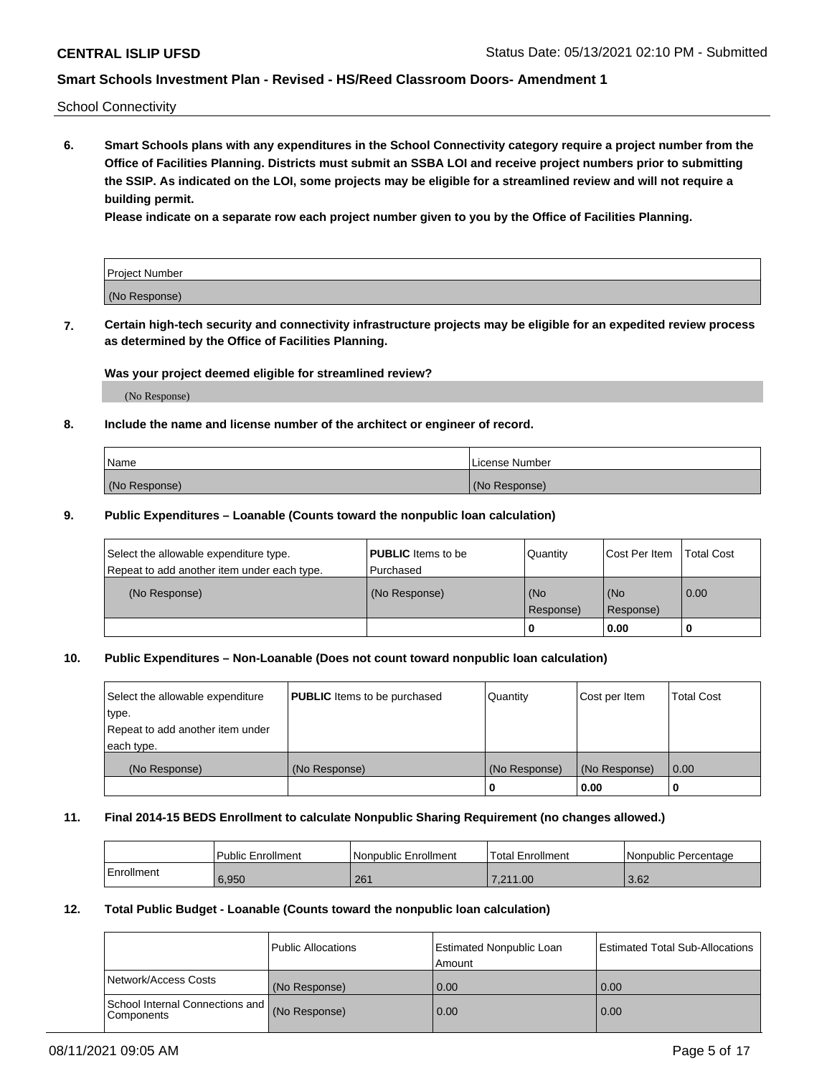School Connectivity

**6. Smart Schools plans with any expenditures in the School Connectivity category require a project number from the Office of Facilities Planning. Districts must submit an SSBA LOI and receive project numbers prior to submitting the SSIP. As indicated on the LOI, some projects may be eligible for a streamlined review and will not require a building permit.**

**Please indicate on a separate row each project number given to you by the Office of Facilities Planning.**

| Project Number |  |
|----------------|--|
| (No Response)  |  |

**7. Certain high-tech security and connectivity infrastructure projects may be eligible for an expedited review process as determined by the Office of Facilities Planning.**

#### **Was your project deemed eligible for streamlined review?**

(No Response)

#### **8. Include the name and license number of the architect or engineer of record.**

| Name          | License Number |
|---------------|----------------|
| (No Response) | (No Response)  |

#### **9. Public Expenditures – Loanable (Counts toward the nonpublic loan calculation)**

| Select the allowable expenditure type.<br>Repeat to add another item under each type. | <b>PUBLIC</b> Items to be<br>l Purchased | Quantity           | Cost Per Item    | <b>Total Cost</b> |
|---------------------------------------------------------------------------------------|------------------------------------------|--------------------|------------------|-------------------|
| (No Response)                                                                         | (No Response)                            | l (No<br>Response) | (No<br>Response) | $\overline{0.00}$ |
|                                                                                       |                                          | O                  | 0.00             |                   |

## **10. Public Expenditures – Non-Loanable (Does not count toward nonpublic loan calculation)**

| Select the allowable expenditure<br>type.<br>Repeat to add another item under<br>each type. | <b>PUBLIC</b> Items to be purchased | Quantity      | Cost per Item | <b>Total Cost</b> |
|---------------------------------------------------------------------------------------------|-------------------------------------|---------------|---------------|-------------------|
| (No Response)                                                                               | (No Response)                       | (No Response) | (No Response) | 0.00              |
|                                                                                             |                                     |               | 0.00          |                   |

#### **11. Final 2014-15 BEDS Enrollment to calculate Nonpublic Sharing Requirement (no changes allowed.)**

|            | Public Enrollment | Nonpublic Enrollment | 'Total Enrollment | l Nonpublic Percentage |
|------------|-------------------|----------------------|-------------------|------------------------|
| Enrollment | 6,950             | 261                  | 7.211.00          | 3.62                   |

#### **12. Total Public Budget - Loanable (Counts toward the nonpublic loan calculation)**

|                                                      | Public Allocations | <b>Estimated Nonpublic Loan</b><br>Amount | Estimated Total Sub-Allocations |
|------------------------------------------------------|--------------------|-------------------------------------------|---------------------------------|
| Network/Access Costs                                 | (No Response)      | 0.00                                      | 0.00                            |
| School Internal Connections and<br><b>Components</b> | (No Response)      | 0.00                                      | 0.00                            |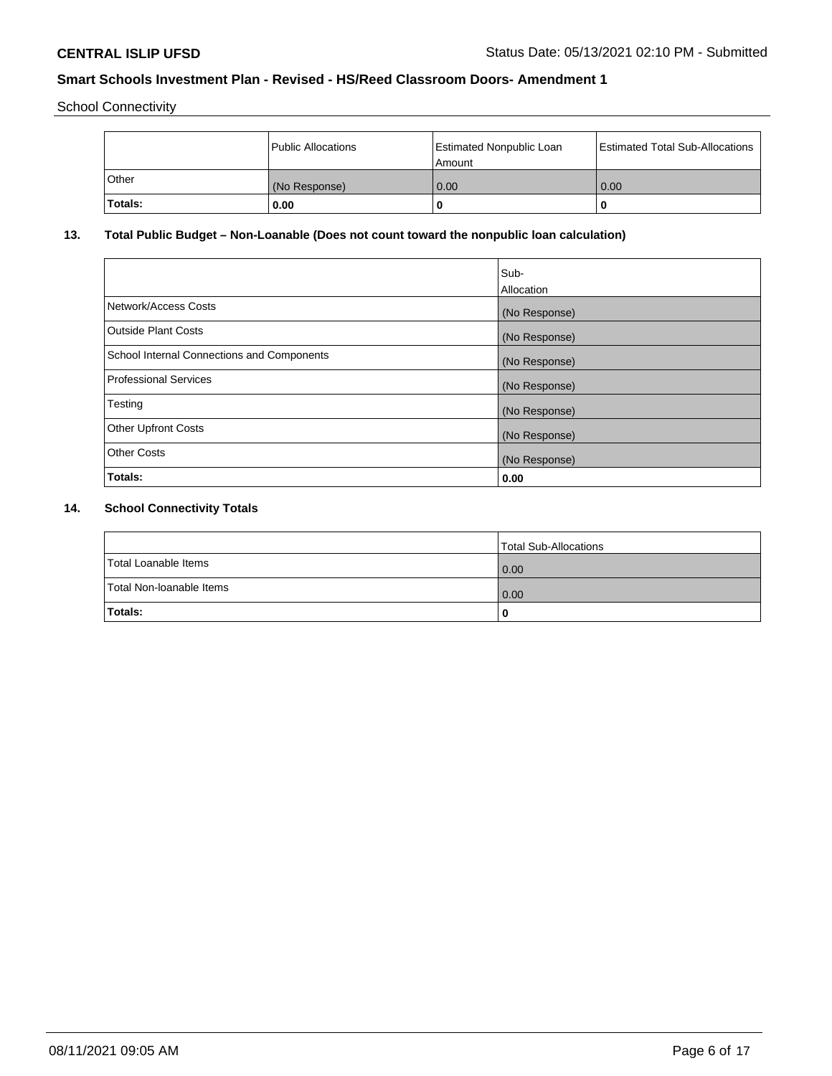School Connectivity

|         | <b>Public Allocations</b> | <b>Estimated Nonpublic Loan</b><br>Amount | <b>Estimated Total Sub-Allocations</b> |
|---------|---------------------------|-------------------------------------------|----------------------------------------|
| Other   | (No Response)             | 0.00                                      | 0.00                                   |
| Totals: | 0.00                      |                                           | O                                      |

# **13. Total Public Budget – Non-Loanable (Does not count toward the nonpublic loan calculation)**

| Sub-<br>Allocation |
|--------------------|
| (No Response)      |
| (No Response)      |
| (No Response)      |
| (No Response)      |
| (No Response)      |
| (No Response)      |
| (No Response)      |
| 0.00               |
|                    |

# **14. School Connectivity Totals**

|                          | Total Sub-Allocations |
|--------------------------|-----------------------|
| Total Loanable Items     | 0.00                  |
| Total Non-Ioanable Items | 0.00                  |
| Totals:                  | 0                     |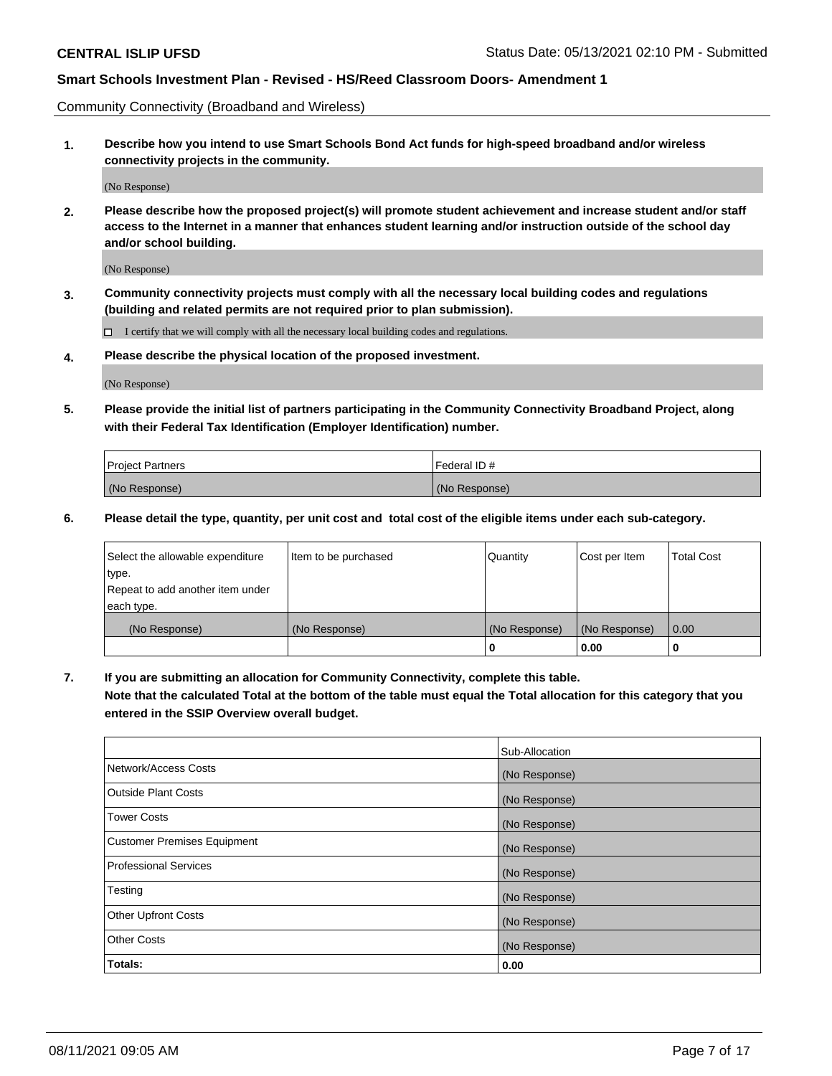Community Connectivity (Broadband and Wireless)

**1. Describe how you intend to use Smart Schools Bond Act funds for high-speed broadband and/or wireless connectivity projects in the community.**

(No Response)

**2. Please describe how the proposed project(s) will promote student achievement and increase student and/or staff access to the Internet in a manner that enhances student learning and/or instruction outside of the school day and/or school building.**

(No Response)

**3. Community connectivity projects must comply with all the necessary local building codes and regulations (building and related permits are not required prior to plan submission).**

 $\Box$  I certify that we will comply with all the necessary local building codes and regulations.

**4. Please describe the physical location of the proposed investment.**

(No Response)

**5. Please provide the initial list of partners participating in the Community Connectivity Broadband Project, along with their Federal Tax Identification (Employer Identification) number.**

| <b>Project Partners</b> | l Federal ID # |
|-------------------------|----------------|
| (No Response)           | (No Response)  |

**6. Please detail the type, quantity, per unit cost and total cost of the eligible items under each sub-category.**

| Select the allowable expenditure | Item to be purchased | Quantity      | Cost per Item | <b>Total Cost</b> |
|----------------------------------|----------------------|---------------|---------------|-------------------|
| type.                            |                      |               |               |                   |
| Repeat to add another item under |                      |               |               |                   |
| each type.                       |                      |               |               |                   |
| (No Response)                    | (No Response)        | (No Response) | (No Response) | 0.00              |
|                                  |                      | o             | 0.00          |                   |

**7. If you are submitting an allocation for Community Connectivity, complete this table.**

**Note that the calculated Total at the bottom of the table must equal the Total allocation for this category that you entered in the SSIP Overview overall budget.**

|                                    | Sub-Allocation |
|------------------------------------|----------------|
| Network/Access Costs               | (No Response)  |
| Outside Plant Costs                | (No Response)  |
| <b>Tower Costs</b>                 | (No Response)  |
| <b>Customer Premises Equipment</b> | (No Response)  |
| <b>Professional Services</b>       | (No Response)  |
| Testing                            | (No Response)  |
| <b>Other Upfront Costs</b>         | (No Response)  |
| <b>Other Costs</b>                 | (No Response)  |
| Totals:                            | 0.00           |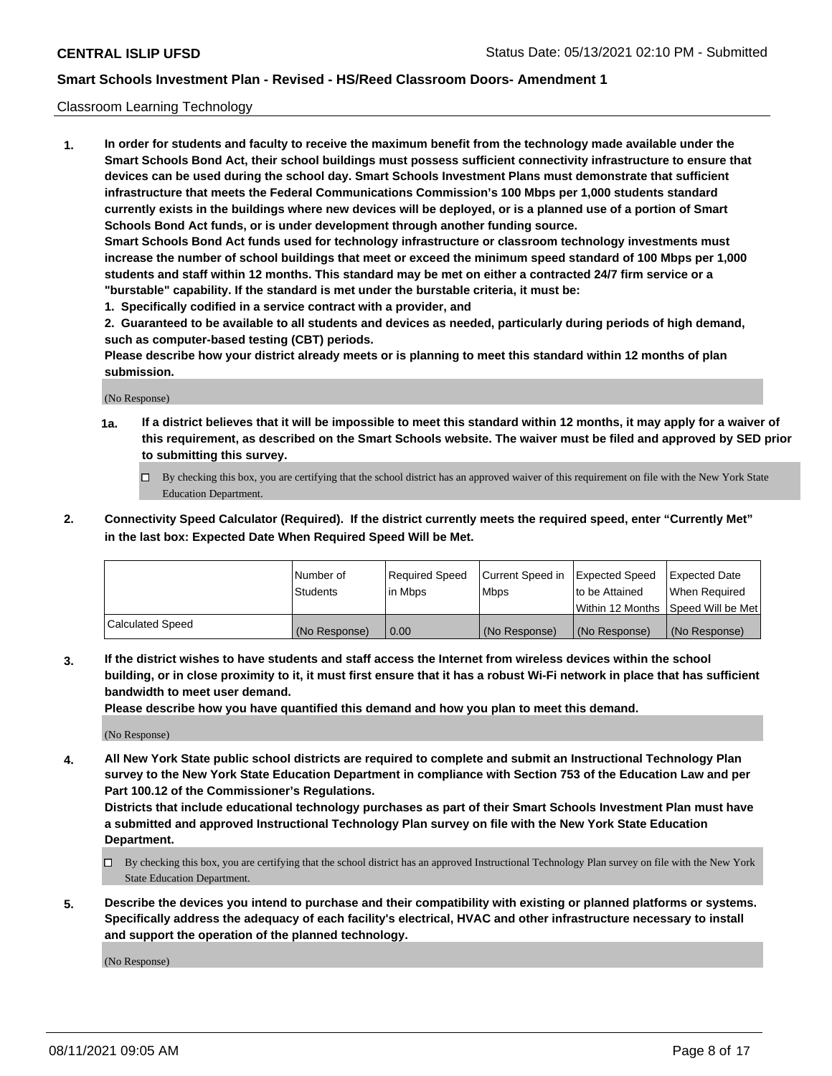#### Classroom Learning Technology

**1. In order for students and faculty to receive the maximum benefit from the technology made available under the Smart Schools Bond Act, their school buildings must possess sufficient connectivity infrastructure to ensure that devices can be used during the school day. Smart Schools Investment Plans must demonstrate that sufficient infrastructure that meets the Federal Communications Commission's 100 Mbps per 1,000 students standard currently exists in the buildings where new devices will be deployed, or is a planned use of a portion of Smart Schools Bond Act funds, or is under development through another funding source. Smart Schools Bond Act funds used for technology infrastructure or classroom technology investments must increase the number of school buildings that meet or exceed the minimum speed standard of 100 Mbps per 1,000 students and staff within 12 months. This standard may be met on either a contracted 24/7 firm service or a "burstable" capability. If the standard is met under the burstable criteria, it must be:**

**1. Specifically codified in a service contract with a provider, and**

**2. Guaranteed to be available to all students and devices as needed, particularly during periods of high demand, such as computer-based testing (CBT) periods.**

**Please describe how your district already meets or is planning to meet this standard within 12 months of plan submission.**

(No Response)

- **1a. If a district believes that it will be impossible to meet this standard within 12 months, it may apply for a waiver of this requirement, as described on the Smart Schools website. The waiver must be filed and approved by SED prior to submitting this survey.**
	- By checking this box, you are certifying that the school district has an approved waiver of this requirement on file with the New York State Education Department.
- **2. Connectivity Speed Calculator (Required). If the district currently meets the required speed, enter "Currently Met" in the last box: Expected Date When Required Speed Will be Met.**

|                  | l Number of     | Required Speed | Current Speed in | <b>Expected Speed</b> | <b>Expected Date</b>                |
|------------------|-----------------|----------------|------------------|-----------------------|-------------------------------------|
|                  | <b>Students</b> | l in Mbps      | l Mbps           | to be Attained        | When Required                       |
|                  |                 |                |                  |                       | Within 12 Months  Speed Will be Met |
| Calculated Speed | (No Response)   | 0.00           | (No Response)    | l (No Response)       | (No Response)                       |

**3. If the district wishes to have students and staff access the Internet from wireless devices within the school building, or in close proximity to it, it must first ensure that it has a robust Wi-Fi network in place that has sufficient bandwidth to meet user demand.**

**Please describe how you have quantified this demand and how you plan to meet this demand.**

(No Response)

**4. All New York State public school districts are required to complete and submit an Instructional Technology Plan survey to the New York State Education Department in compliance with Section 753 of the Education Law and per Part 100.12 of the Commissioner's Regulations.**

**Districts that include educational technology purchases as part of their Smart Schools Investment Plan must have a submitted and approved Instructional Technology Plan survey on file with the New York State Education Department.**

- By checking this box, you are certifying that the school district has an approved Instructional Technology Plan survey on file with the New York State Education Department.
- **5. Describe the devices you intend to purchase and their compatibility with existing or planned platforms or systems. Specifically address the adequacy of each facility's electrical, HVAC and other infrastructure necessary to install and support the operation of the planned technology.**

(No Response)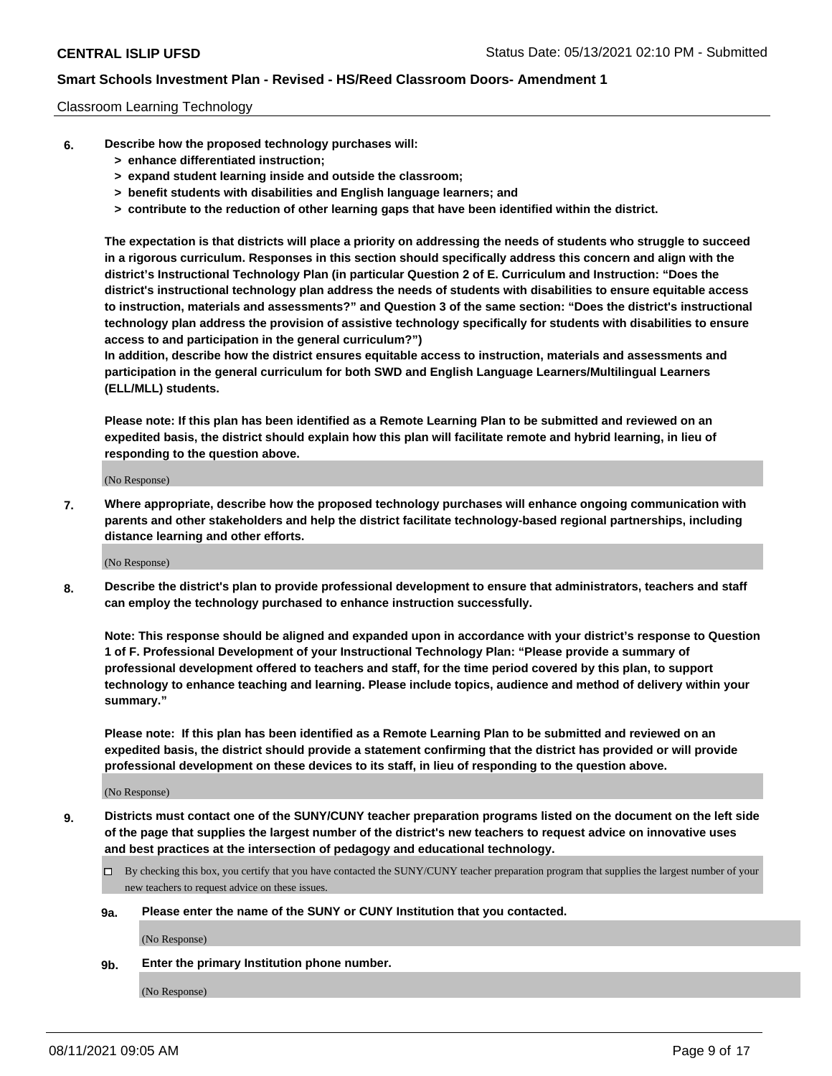#### Classroom Learning Technology

- **6. Describe how the proposed technology purchases will:**
	- **> enhance differentiated instruction;**
	- **> expand student learning inside and outside the classroom;**
	- **> benefit students with disabilities and English language learners; and**
	- **> contribute to the reduction of other learning gaps that have been identified within the district.**

**The expectation is that districts will place a priority on addressing the needs of students who struggle to succeed in a rigorous curriculum. Responses in this section should specifically address this concern and align with the district's Instructional Technology Plan (in particular Question 2 of E. Curriculum and Instruction: "Does the district's instructional technology plan address the needs of students with disabilities to ensure equitable access to instruction, materials and assessments?" and Question 3 of the same section: "Does the district's instructional technology plan address the provision of assistive technology specifically for students with disabilities to ensure access to and participation in the general curriculum?")**

**In addition, describe how the district ensures equitable access to instruction, materials and assessments and participation in the general curriculum for both SWD and English Language Learners/Multilingual Learners (ELL/MLL) students.**

**Please note: If this plan has been identified as a Remote Learning Plan to be submitted and reviewed on an expedited basis, the district should explain how this plan will facilitate remote and hybrid learning, in lieu of responding to the question above.**

(No Response)

**7. Where appropriate, describe how the proposed technology purchases will enhance ongoing communication with parents and other stakeholders and help the district facilitate technology-based regional partnerships, including distance learning and other efforts.**

(No Response)

**8. Describe the district's plan to provide professional development to ensure that administrators, teachers and staff can employ the technology purchased to enhance instruction successfully.**

**Note: This response should be aligned and expanded upon in accordance with your district's response to Question 1 of F. Professional Development of your Instructional Technology Plan: "Please provide a summary of professional development offered to teachers and staff, for the time period covered by this plan, to support technology to enhance teaching and learning. Please include topics, audience and method of delivery within your summary."**

**Please note: If this plan has been identified as a Remote Learning Plan to be submitted and reviewed on an expedited basis, the district should provide a statement confirming that the district has provided or will provide professional development on these devices to its staff, in lieu of responding to the question above.**

(No Response)

- **9. Districts must contact one of the SUNY/CUNY teacher preparation programs listed on the document on the left side of the page that supplies the largest number of the district's new teachers to request advice on innovative uses and best practices at the intersection of pedagogy and educational technology.**
	- $\Box$  By checking this box, you certify that you have contacted the SUNY/CUNY teacher preparation program that supplies the largest number of your new teachers to request advice on these issues.

#### **9a. Please enter the name of the SUNY or CUNY Institution that you contacted.**

(No Response)

**9b. Enter the primary Institution phone number.**

(No Response)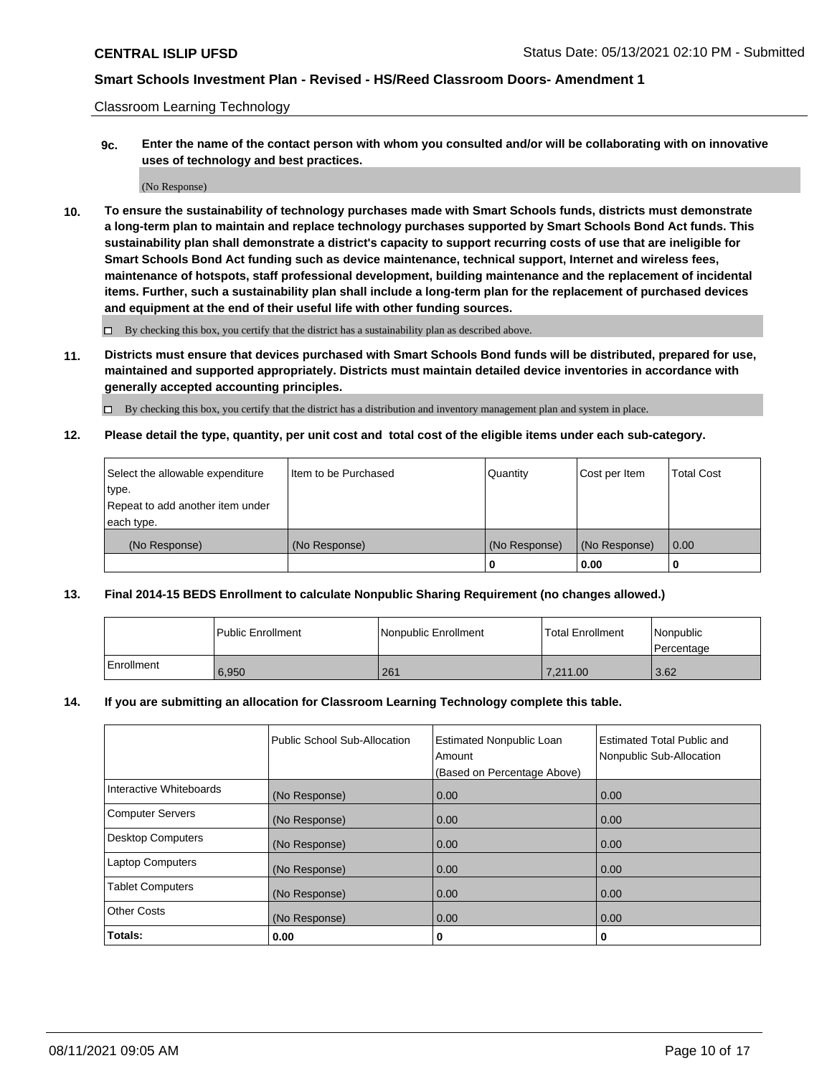Classroom Learning Technology

**9c. Enter the name of the contact person with whom you consulted and/or will be collaborating with on innovative uses of technology and best practices.**

(No Response)

**10. To ensure the sustainability of technology purchases made with Smart Schools funds, districts must demonstrate a long-term plan to maintain and replace technology purchases supported by Smart Schools Bond Act funds. This sustainability plan shall demonstrate a district's capacity to support recurring costs of use that are ineligible for Smart Schools Bond Act funding such as device maintenance, technical support, Internet and wireless fees, maintenance of hotspots, staff professional development, building maintenance and the replacement of incidental items. Further, such a sustainability plan shall include a long-term plan for the replacement of purchased devices and equipment at the end of their useful life with other funding sources.**

 $\square$  By checking this box, you certify that the district has a sustainability plan as described above.

**11. Districts must ensure that devices purchased with Smart Schools Bond funds will be distributed, prepared for use, maintained and supported appropriately. Districts must maintain detailed device inventories in accordance with generally accepted accounting principles.**

By checking this box, you certify that the district has a distribution and inventory management plan and system in place.

**12. Please detail the type, quantity, per unit cost and total cost of the eligible items under each sub-category.**

| Select the allowable expenditure | Item to be Purchased | Quantity      | Cost per Item | <b>Total Cost</b> |
|----------------------------------|----------------------|---------------|---------------|-------------------|
| type.                            |                      |               |               |                   |
| Repeat to add another item under |                      |               |               |                   |
| each type.                       |                      |               |               |                   |
| (No Response)                    | (No Response)        | (No Response) | (No Response) | $\overline{0.00}$ |
|                                  |                      |               | 0.00          |                   |

#### **13. Final 2014-15 BEDS Enrollment to calculate Nonpublic Sharing Requirement (no changes allowed.)**

|              | l Public Enrollment | Nonpublic Enrollment | <b>Total Enrollment</b> | <i>Nonpublic</i><br>l Percentage |
|--------------|---------------------|----------------------|-------------------------|----------------------------------|
| l Enrollment | 6.950               | 261                  | 7.211.00                | 3.62                             |

#### **14. If you are submitting an allocation for Classroom Learning Technology complete this table.**

|                          | Public School Sub-Allocation | <b>Estimated Nonpublic Loan</b><br>Amount | Estimated Total Public and<br>Nonpublic Sub-Allocation |
|--------------------------|------------------------------|-------------------------------------------|--------------------------------------------------------|
|                          |                              | (Based on Percentage Above)               |                                                        |
| Interactive Whiteboards  | (No Response)                | 0.00                                      | 0.00                                                   |
| <b>Computer Servers</b>  | (No Response)                | 0.00                                      | 0.00                                                   |
| <b>Desktop Computers</b> | (No Response)                | 0.00                                      | 0.00                                                   |
| <b>Laptop Computers</b>  | (No Response)                | 0.00                                      | 0.00                                                   |
| <b>Tablet Computers</b>  | (No Response)                | 0.00                                      | 0.00                                                   |
| <b>Other Costs</b>       | (No Response)                | 0.00                                      | 0.00                                                   |
| Totals:                  | 0.00                         | 0                                         | 0                                                      |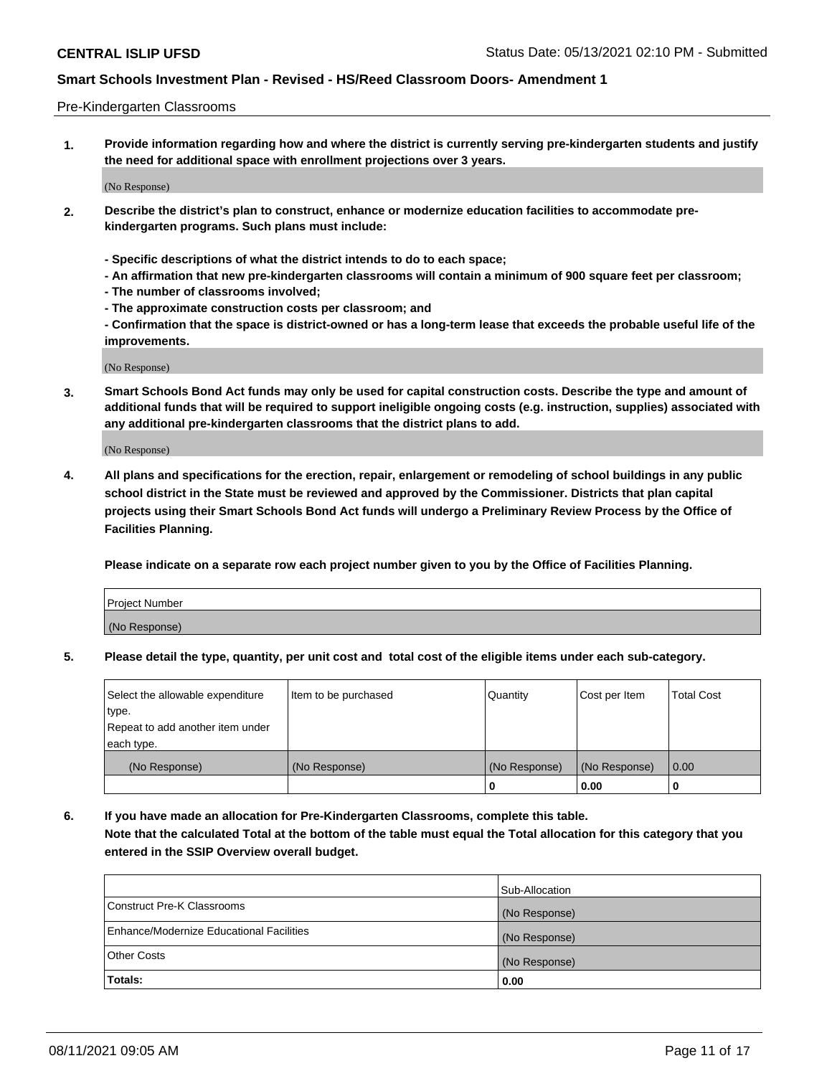#### Pre-Kindergarten Classrooms

**1. Provide information regarding how and where the district is currently serving pre-kindergarten students and justify the need for additional space with enrollment projections over 3 years.**

(No Response)

- **2. Describe the district's plan to construct, enhance or modernize education facilities to accommodate prekindergarten programs. Such plans must include:**
	- **Specific descriptions of what the district intends to do to each space;**
	- **An affirmation that new pre-kindergarten classrooms will contain a minimum of 900 square feet per classroom;**
	- **The number of classrooms involved;**
	- **The approximate construction costs per classroom; and**
	- **Confirmation that the space is district-owned or has a long-term lease that exceeds the probable useful life of the improvements.**

(No Response)

**3. Smart Schools Bond Act funds may only be used for capital construction costs. Describe the type and amount of additional funds that will be required to support ineligible ongoing costs (e.g. instruction, supplies) associated with any additional pre-kindergarten classrooms that the district plans to add.**

(No Response)

**4. All plans and specifications for the erection, repair, enlargement or remodeling of school buildings in any public school district in the State must be reviewed and approved by the Commissioner. Districts that plan capital projects using their Smart Schools Bond Act funds will undergo a Preliminary Review Process by the Office of Facilities Planning.**

**Please indicate on a separate row each project number given to you by the Office of Facilities Planning.**

| Project Number |  |
|----------------|--|
| (No Response)  |  |
|                |  |

**5. Please detail the type, quantity, per unit cost and total cost of the eligible items under each sub-category.**

| Select the allowable expenditure | Item to be purchased | Quantity      | Cost per Item | <b>Total Cost</b> |
|----------------------------------|----------------------|---------------|---------------|-------------------|
| type.                            |                      |               |               |                   |
| Repeat to add another item under |                      |               |               |                   |
| each type.                       |                      |               |               |                   |
| (No Response)                    | (No Response)        | (No Response) | (No Response) | 0.00              |
|                                  |                      | U             | 0.00          |                   |

**6. If you have made an allocation for Pre-Kindergarten Classrooms, complete this table. Note that the calculated Total at the bottom of the table must equal the Total allocation for this category that you entered in the SSIP Overview overall budget.**

|                                          | Sub-Allocation |
|------------------------------------------|----------------|
| Construct Pre-K Classrooms               | (No Response)  |
| Enhance/Modernize Educational Facilities | (No Response)  |
| <b>Other Costs</b>                       | (No Response)  |
| Totals:                                  | 0.00           |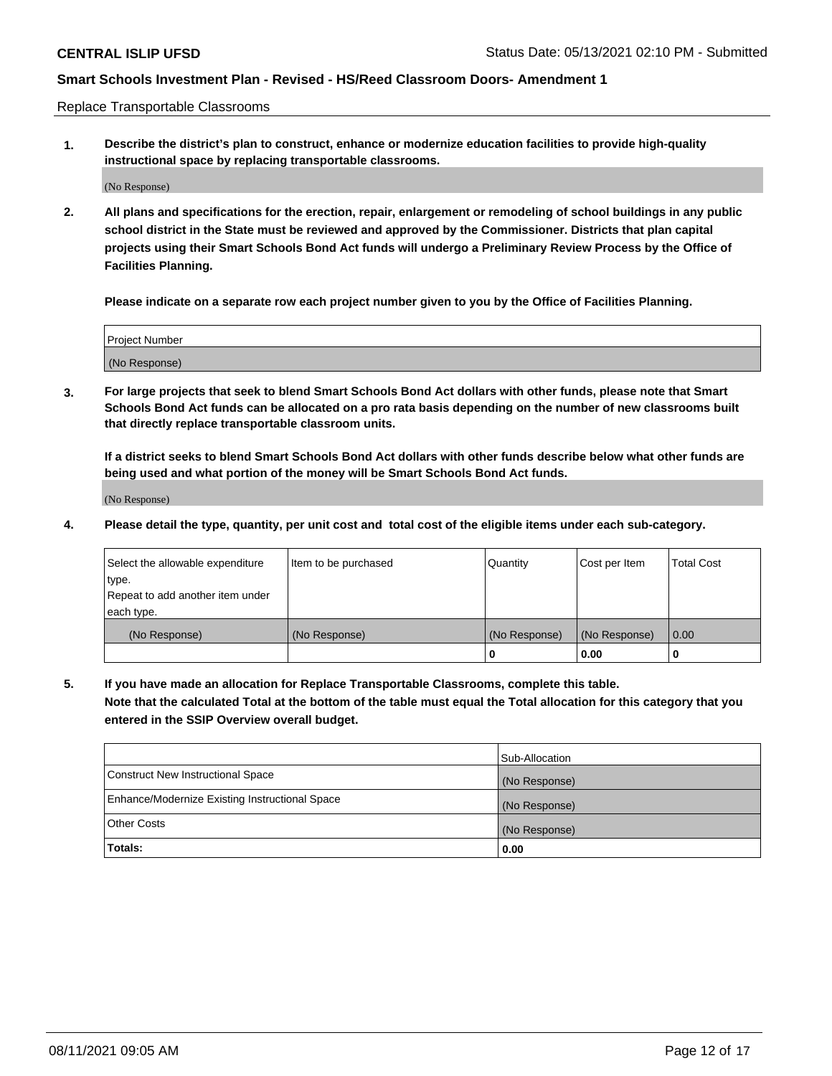Replace Transportable Classrooms

**1. Describe the district's plan to construct, enhance or modernize education facilities to provide high-quality instructional space by replacing transportable classrooms.**

(No Response)

**2. All plans and specifications for the erection, repair, enlargement or remodeling of school buildings in any public school district in the State must be reviewed and approved by the Commissioner. Districts that plan capital projects using their Smart Schools Bond Act funds will undergo a Preliminary Review Process by the Office of Facilities Planning.**

**Please indicate on a separate row each project number given to you by the Office of Facilities Planning.**

| Project Number |  |
|----------------|--|
|                |  |
| (No Response)  |  |

**3. For large projects that seek to blend Smart Schools Bond Act dollars with other funds, please note that Smart Schools Bond Act funds can be allocated on a pro rata basis depending on the number of new classrooms built that directly replace transportable classroom units.**

**If a district seeks to blend Smart Schools Bond Act dollars with other funds describe below what other funds are being used and what portion of the money will be Smart Schools Bond Act funds.**

(No Response)

**4. Please detail the type, quantity, per unit cost and total cost of the eligible items under each sub-category.**

| Select the allowable expenditure | Item to be purchased | Quantity      | Cost per Item | Total Cost |
|----------------------------------|----------------------|---------------|---------------|------------|
| ∣type.                           |                      |               |               |            |
| Repeat to add another item under |                      |               |               |            |
| each type.                       |                      |               |               |            |
| (No Response)                    | (No Response)        | (No Response) | (No Response) | 0.00       |
|                                  |                      | u             | 0.00          |            |

**5. If you have made an allocation for Replace Transportable Classrooms, complete this table. Note that the calculated Total at the bottom of the table must equal the Total allocation for this category that you entered in the SSIP Overview overall budget.**

|                                                | Sub-Allocation |
|------------------------------------------------|----------------|
| Construct New Instructional Space              | (No Response)  |
| Enhance/Modernize Existing Instructional Space | (No Response)  |
| Other Costs                                    | (No Response)  |
| Totals:                                        | 0.00           |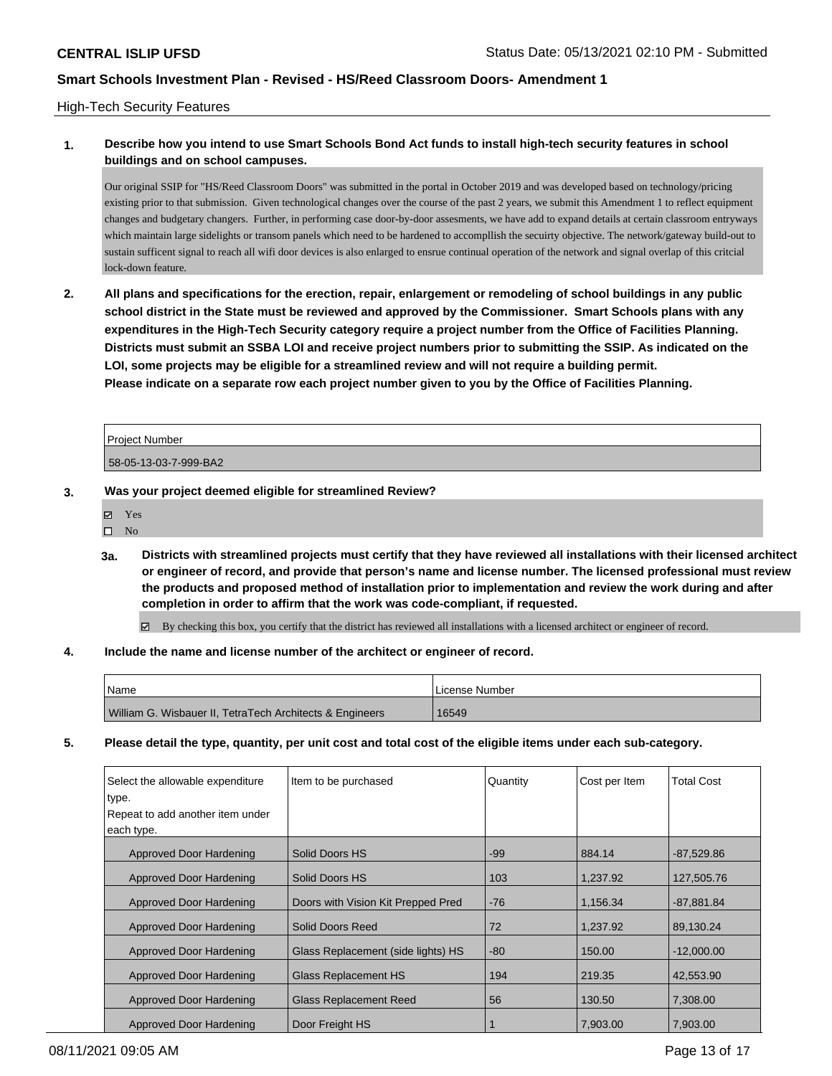#### High-Tech Security Features

## **1. Describe how you intend to use Smart Schools Bond Act funds to install high-tech security features in school buildings and on school campuses.**

Our original SSIP for "HS/Reed Classroom Doors" was submitted in the portal in October 2019 and was developed based on technology/pricing existing prior to that submission. Given technological changes over the course of the past 2 years, we submit this Amendment 1 to reflect equipment changes and budgetary changers. Further, in performing case door-by-door assesments, we have add to expand details at certain classroom entryways which maintain large sidelights or transom panels which need to be hardened to accompllish the secuirty objective. The network/gateway build-out to sustain sufficent signal to reach all wifi door devices is also enlarged to ensrue continual operation of the network and signal overlap of this critcial lock-down feature.

**2. All plans and specifications for the erection, repair, enlargement or remodeling of school buildings in any public school district in the State must be reviewed and approved by the Commissioner. Smart Schools plans with any expenditures in the High-Tech Security category require a project number from the Office of Facilities Planning. Districts must submit an SSBA LOI and receive project numbers prior to submitting the SSIP. As indicated on the LOI, some projects may be eligible for a streamlined review and will not require a building permit. Please indicate on a separate row each project number given to you by the Office of Facilities Planning.**

| <b>Project Number</b> |  |
|-----------------------|--|
| 58-05-13-03-7-999-BA2 |  |

- **3. Was your project deemed eligible for streamlined Review?**
	- Yes
	- $\square$  No
	- **3a. Districts with streamlined projects must certify that they have reviewed all installations with their licensed architect or engineer of record, and provide that person's name and license number. The licensed professional must review the products and proposed method of installation prior to implementation and review the work during and after completion in order to affirm that the work was code-compliant, if requested.**

By checking this box, you certify that the district has reviewed all installations with a licensed architect or engineer of record.

#### **4. Include the name and license number of the architect or engineer of record.**

| <sup>1</sup> Name                                        | License Number |
|----------------------------------------------------------|----------------|
| William G. Wisbauer II, TetraTech Architects & Engineers | 16549          |

**5. Please detail the type, quantity, per unit cost and total cost of the eligible items under each sub-category.**

| Select the allowable expenditure<br>type.<br>Repeat to add another item under<br>each type. | Item to be purchased               | Quantity | Cost per Item | <b>Total Cost</b> |
|---------------------------------------------------------------------------------------------|------------------------------------|----------|---------------|-------------------|
| Approved Door Hardening                                                                     | Solid Doors HS                     | $-99$    | 884.14        | $-87,529.86$      |
| Approved Door Hardening                                                                     | Solid Doors HS                     | 103      | 1.237.92      | 127,505.76        |
| Approved Door Hardening                                                                     | Doors with Vision Kit Prepped Pred | $-76$    | 1.156.34      | $-87.881.84$      |
| Approved Door Hardening                                                                     | Solid Doors Reed                   | 72       | 1.237.92      | 89.130.24         |
| Approved Door Hardening                                                                     | Glass Replacement (side lights) HS | $-80$    | 150.00        | $-12,000.00$      |
| Approved Door Hardening                                                                     | Glass Replacement HS               | 194      | 219.35        | 42,553.90         |
| Approved Door Hardening                                                                     | Glass Replacement Reed             | 56       | 130.50        | 7,308.00          |
| Approved Door Hardening                                                                     | Door Freight HS                    |          | 7,903.00      | 7,903.00          |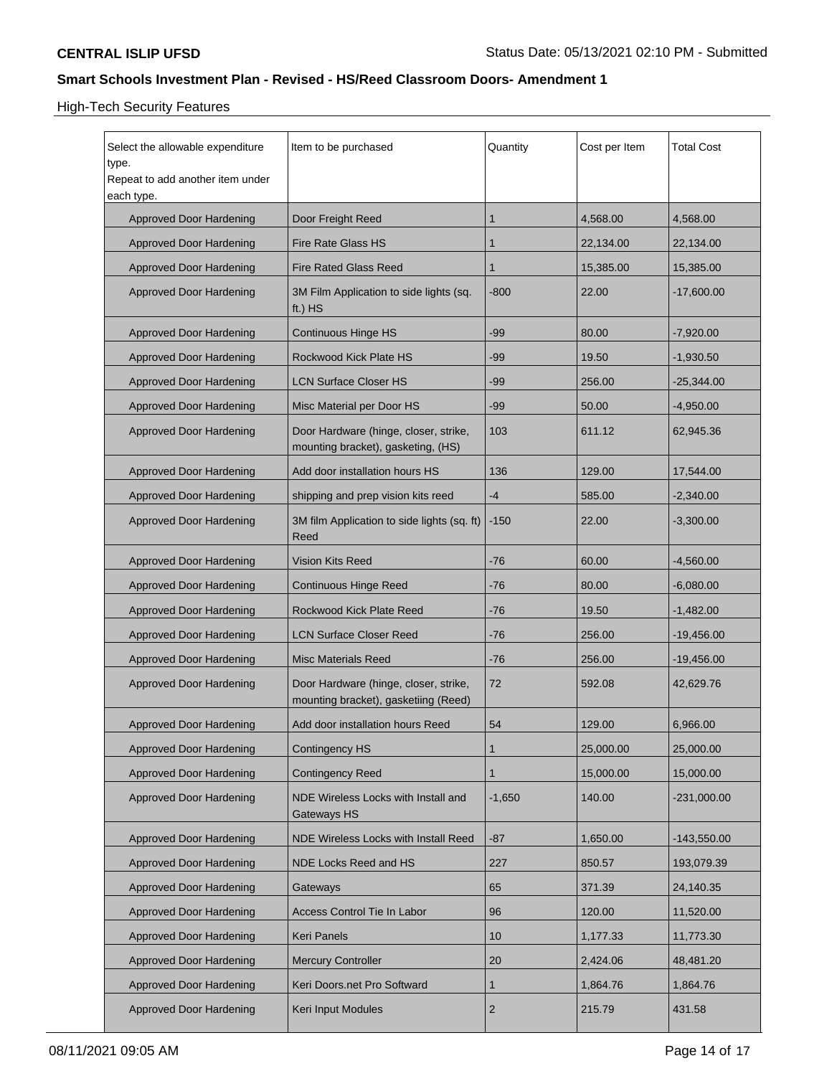# High-Tech Security Features

| Select the allowable expenditure<br>Item to be purchased<br>type.<br>Repeat to add another item under<br>each type. |                                                                               | Quantity       | Cost per Item | <b>Total Cost</b> |
|---------------------------------------------------------------------------------------------------------------------|-------------------------------------------------------------------------------|----------------|---------------|-------------------|
| Approved Door Hardening                                                                                             | Door Freight Reed                                                             | 1              | 4,568.00      | 4,568.00          |
| Approved Door Hardening                                                                                             | Fire Rate Glass HS                                                            | 1              | 22,134.00     | 22,134.00         |
| Approved Door Hardening                                                                                             | Fire Rated Glass Reed                                                         | 1              | 15,385.00     | 15,385.00         |
| Approved Door Hardening                                                                                             | 3M Film Application to side lights (sq.<br>ft.) $HS$                          | $-800$         | 22.00         | $-17,600.00$      |
| Approved Door Hardening                                                                                             | Continuous Hinge HS                                                           | $-99$          | 80.00         | $-7,920.00$       |
| Approved Door Hardening                                                                                             | Rockwood Kick Plate HS                                                        | -99            | 19.50         | $-1,930.50$       |
| Approved Door Hardening                                                                                             | LCN Surface Closer HS                                                         | -99            | 256.00        | $-25,344.00$      |
| Approved Door Hardening                                                                                             | Misc Material per Door HS                                                     | $-99$          | 50.00         | $-4,950.00$       |
| Approved Door Hardening                                                                                             | Door Hardware (hinge, closer, strike,<br>mounting bracket), gasketing, (HS)   | 103            | 611.12        | 62,945.36         |
| Approved Door Hardening                                                                                             | Add door installation hours HS                                                | 136            | 129.00        | 17,544.00         |
| Approved Door Hardening                                                                                             | shipping and prep vision kits reed                                            | -4             | 585.00        | $-2,340.00$       |
| Approved Door Hardening                                                                                             | 3M film Application to side lights (sq. ft)<br>Reed                           | $-150$         | 22.00         | $-3,300.00$       |
| Approved Door Hardening                                                                                             | Vision Kits Reed                                                              | $-76$          | 60.00         | $-4,560.00$       |
| Approved Door Hardening                                                                                             | Continuous Hinge Reed                                                         | $-76$          | 80.00         | $-6,080.00$       |
| Approved Door Hardening                                                                                             | Rockwood Kick Plate Reed                                                      | $-76$          | 19.50         | $-1,482.00$       |
| Approved Door Hardening                                                                                             | <b>LCN Surface Closer Reed</b>                                                | $-76$          | 256.00        | $-19,456.00$      |
| Approved Door Hardening                                                                                             | <b>Misc Materials Reed</b>                                                    | $-76$          | 256.00        | $-19,456.00$      |
| <b>Approved Door Hardening</b>                                                                                      | Door Hardware (hinge, closer, strike,<br>mounting bracket), gasketiing (Reed) | 72             | 592.08        | 42,629.76         |
| Approved Door Hardening                                                                                             | Add door installation hours Reed                                              | 54             | 129.00        | 6,966.00          |
| <b>Approved Door Hardening</b>                                                                                      | Contingency HS                                                                | 1              | 25,000.00     | 25,000.00         |
| <b>Approved Door Hardening</b>                                                                                      | <b>Contingency Reed</b>                                                       | 1              | 15,000.00     | 15,000.00         |
| <b>Approved Door Hardening</b>                                                                                      | NDE Wireless Locks with Install and<br>Gateways HS                            | $-1,650$       | 140.00        | -231,000.00       |
| <b>Approved Door Hardening</b>                                                                                      | NDE Wireless Locks with Install Reed                                          | -87            | 1,650.00      | -143,550.00       |
| Approved Door Hardening                                                                                             | NDE Locks Reed and HS                                                         | 227            | 850.57        | 193,079.39        |
| <b>Approved Door Hardening</b>                                                                                      | Gateways                                                                      | 65             | 371.39        | 24,140.35         |
| Approved Door Hardening                                                                                             | Access Control Tie In Labor                                                   | 96             | 120.00        | 11,520.00         |
| <b>Approved Door Hardening</b>                                                                                      | Keri Panels                                                                   | 10             | 1,177.33      | 11,773.30         |
| <b>Approved Door Hardening</b>                                                                                      | <b>Mercury Controller</b>                                                     | 20             | 2,424.06      | 48,481.20         |
| <b>Approved Door Hardening</b>                                                                                      | Keri Doors.net Pro Softward                                                   | 1              | 1,864.76      | 1,864.76          |
| <b>Approved Door Hardening</b>                                                                                      | <b>Keri Input Modules</b>                                                     | $\overline{2}$ | 215.79        | 431.58            |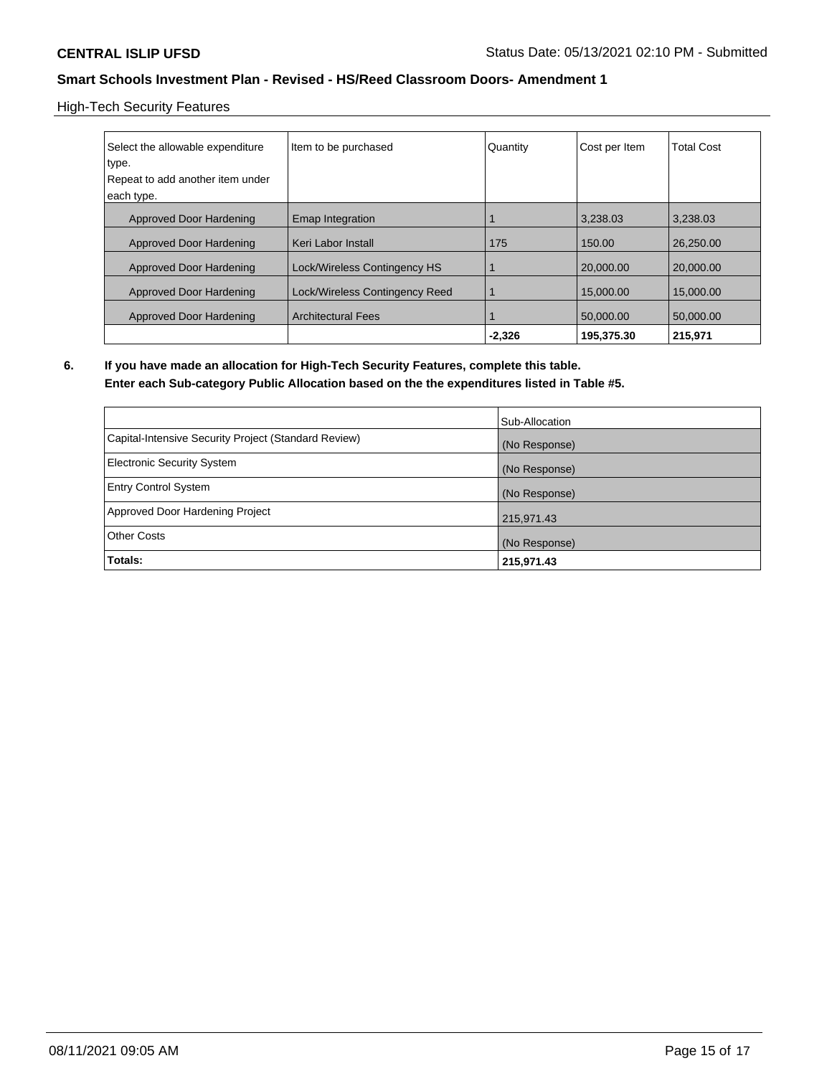High-Tech Security Features

| Select the allowable expenditure<br>type. | Item to be purchased           | Quantity | Cost per Item | <b>Total Cost</b> |
|-------------------------------------------|--------------------------------|----------|---------------|-------------------|
| Repeat to add another item under          |                                |          |               |                   |
| each type.                                |                                |          |               |                   |
| Approved Door Hardening                   | <b>Emap Integration</b>        |          | 3.238.03      | 3.238.03          |
| Approved Door Hardening                   | l Keri Labor Install           | 175      | 150.00        | 26.250.00         |
| Approved Door Hardening                   | Lock/Wireless Contingency HS   |          | 20,000,00     | 20,000,00         |
| Approved Door Hardening                   | Lock/Wireless Contingency Reed |          | 15,000.00     | 15,000.00         |
| Approved Door Hardening                   | <b>Architectural Fees</b>      |          | 50.000.00     | 50,000,00         |
|                                           |                                | $-2.326$ | 195.375.30    | 215.971           |

**6. If you have made an allocation for High-Tech Security Features, complete this table. Enter each Sub-category Public Allocation based on the the expenditures listed in Table #5.**

|                                                      | Sub-Allocation |
|------------------------------------------------------|----------------|
| Capital-Intensive Security Project (Standard Review) | (No Response)  |
| Electronic Security System                           | (No Response)  |
| <b>Entry Control System</b>                          | (No Response)  |
| Approved Door Hardening Project                      | 215,971.43     |
| <b>Other Costs</b>                                   | (No Response)  |
| Totals:                                              | 215,971.43     |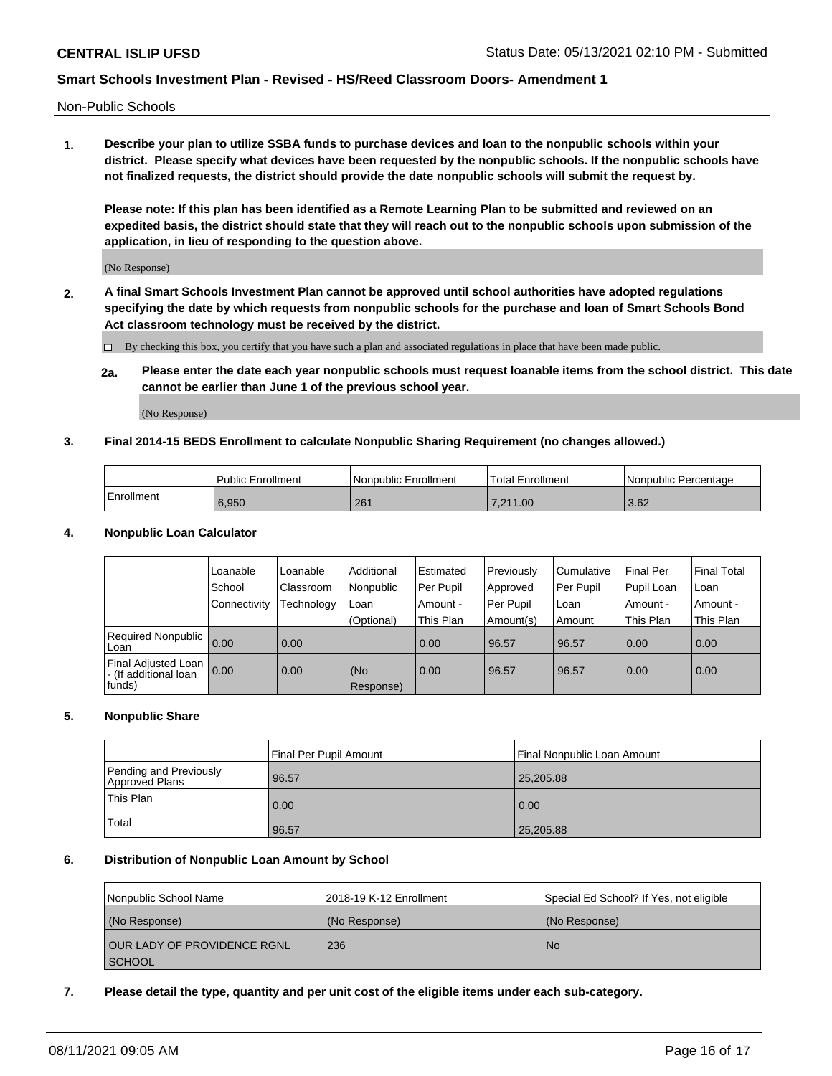Non-Public Schools

**1. Describe your plan to utilize SSBA funds to purchase devices and loan to the nonpublic schools within your district. Please specify what devices have been requested by the nonpublic schools. If the nonpublic schools have not finalized requests, the district should provide the date nonpublic schools will submit the request by.**

**Please note: If this plan has been identified as a Remote Learning Plan to be submitted and reviewed on an expedited basis, the district should state that they will reach out to the nonpublic schools upon submission of the application, in lieu of responding to the question above.**

(No Response)

**2. A final Smart Schools Investment Plan cannot be approved until school authorities have adopted regulations specifying the date by which requests from nonpublic schools for the purchase and loan of Smart Schools Bond Act classroom technology must be received by the district.**

By checking this box, you certify that you have such a plan and associated regulations in place that have been made public.

**2a. Please enter the date each year nonpublic schools must request loanable items from the school district. This date cannot be earlier than June 1 of the previous school year.**

(No Response)

#### **3. Final 2014-15 BEDS Enrollment to calculate Nonpublic Sharing Requirement (no changes allowed.)**

|              | <b>Public Enrollment</b> | <b>Nonpublic Enrollment</b> | Total Enrollment | Nonpublic Percentage |
|--------------|--------------------------|-----------------------------|------------------|----------------------|
| l Enrollment | 6.950                    | 261                         | 7.211.00         | 3.62                 |

#### **4. Nonpublic Loan Calculator**

|                                                           | Loanable       | Loanable   | Additional       | l Estimated | Previously | Cumulative | <b>Final Per</b> | <b>Final Total</b> |
|-----------------------------------------------------------|----------------|------------|------------------|-------------|------------|------------|------------------|--------------------|
|                                                           | School         | Classroom  | Nonpublic        | Per Pupil   | Approved   | Per Pupil  | Pupil Loan       | Loan               |
|                                                           | l Connectivitv | Technology | Loan             | Amount -    | Per Pupil  | Loan       | Amount -         | Amount -           |
|                                                           |                |            | (Optional)       | This Plan   | Amount(s)  | Amount     | This Plan        | This Plan          |
| Required Nonpublic<br>Loan                                | 0.00           | 0.00       |                  | 0.00        | 96.57      | 96.57      | 0.00             | 0.00               |
| Final Adjusted Loan  <br>- (If additional loan<br> funds) | 0.00           | 0.00       | (No<br>Response) | 0.00        | 96.57      | 96.57      | 0.00             | 0.00               |

#### **5. Nonpublic Share**

|                                          | Final Per Pupil Amount | l Final Nonpublic Loan Amount |
|------------------------------------------|------------------------|-------------------------------|
| Pending and Previously<br>Approved Plans | 96.57                  | 25,205.88                     |
| <b>This Plan</b>                         | 0.00                   | 0.00                          |
| Total                                    | 96.57                  | 25,205.88                     |

#### **6. Distribution of Nonpublic Loan Amount by School**

| Nonpublic School Name       | 2018-19 K-12 Enrollment | Special Ed School? If Yes, not eligible |
|-----------------------------|-------------------------|-----------------------------------------|
| (No Response)               | (No Response)           | (No Response)                           |
| OUR LADY OF PROVIDENCE RGNL | 236                     | <b>No</b>                               |
| <b>SCHOOL</b>               |                         |                                         |

#### **7. Please detail the type, quantity and per unit cost of the eligible items under each sub-category.**